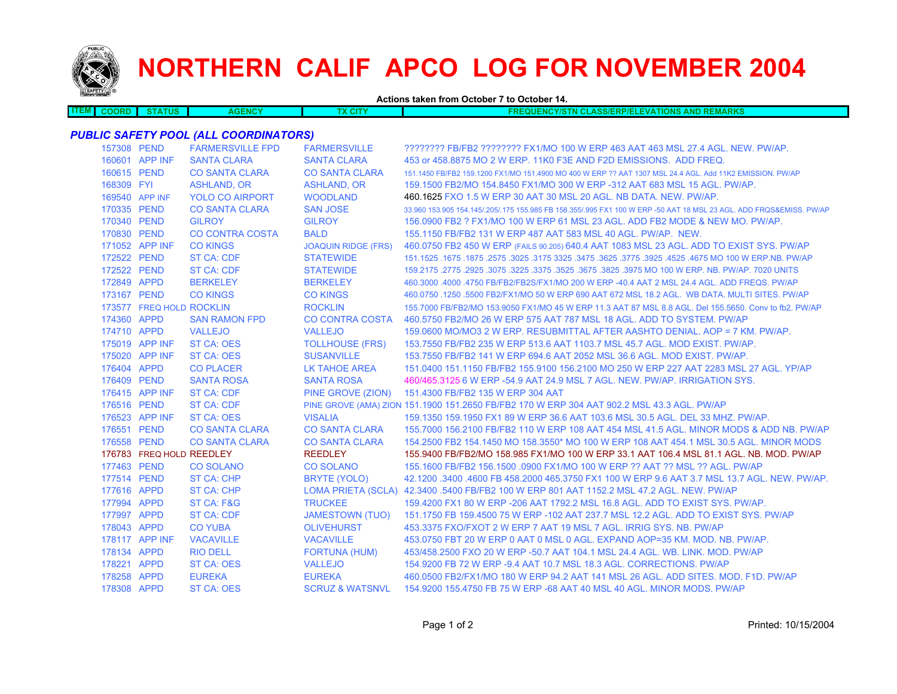

# **NORTHERN CALIF APCO LOG FOR NOVEMBER 2004**

**Actions taken from October 7 to October 14.**

| <b>ITEM</b> | .OORF | TUS | ENCY<br>. . | <b>CONTACT</b><br>ЮH<br>$\sim$ | <b>BEAM16</b><br>$\sim$ $\sim$ $\sim$ $\sim$<br>ани.<br>- -<br>774<br>-71-<br>. .<br><b>A</b><br>ын<br><b>INC.</b><br><b>TX 1.</b><br>- -<br><b>WENNAN</b><br>.<br>. |
|-------------|-------|-----|-------------|--------------------------------|----------------------------------------------------------------------------------------------------------------------------------------------------------------------|
|             |       |     |             |                                |                                                                                                                                                                      |

# *PUBLIC SAFETY POOL (ALL COORDINATORS)*

| 157308 PEND |                          | <b>FARMERSVILLE FPD</b> | <b>FARMERSVILLE</b>        | ???????? FB/FB2 ???????? FX1/MO 100 W ERP 463 AAT 463 MSL 27.4 AGL. NEW. PW/AP.                                     |
|-------------|--------------------------|-------------------------|----------------------------|---------------------------------------------------------------------------------------------------------------------|
|             | 160601 APP INF           | <b>SANTA CLARA</b>      | <b>SANTA CLARA</b>         | 453 or 458,8875 MO 2 W ERP, 11K0 F3E AND F2D EMISSIONS. ADD FREQ.                                                   |
| 160615 PEND |                          | <b>CO SANTA CLARA</b>   | <b>CO SANTA CLARA</b>      | 151.1450 FB/FB2 159.1200 FX1/MO 151.4900 MO 400 W ERP ?? AAT 1307 MSL 24.4 AGL. Add 11K2 EMISSION. PW/AP            |
| 168309 FYI  |                          | <b>ASHLAND, OR</b>      | <b>ASHLAND, OR</b>         | 159.1500 FB2/MO 154.8450 FX1/MO 300 W ERP -312 AAT 683 MSL 15 AGL, PW/AP.                                           |
|             | 169540 APP INF           | <b>YOLO CO AIRPORT</b>  | <b>WOODLAND</b>            | 460.1625 FXO 1.5 W ERP 30 AAT 30 MSL 20 AGL. NB DATA, NEW, PW/AP.                                                   |
| 170335 PEND |                          | <b>CO SANTA CLARA</b>   | <b>SAN JOSE</b>            | 33.960 153.905 154.145/.205/.175 155.985 FB 158.355/.995 FX1 100 W ERP -50 AAT 18 MSL 23 AGL. ADD FRQS&EMISS. PW/AP |
| 170340 PEND |                          | <b>GILROY</b>           | <b>GILROY</b>              | 156,0900 FB2 ? FX1/MO 100 W ERP 61 MSL 23 AGL. ADD FB2 MODE & NEW MO, PW/AP.                                        |
| 170830 PEND |                          | <b>CO CONTRA COSTA</b>  | <b>BALD</b>                | 155.1150 FB/FB2 131 W ERP 487 AAT 583 MSL 40 AGL, PW/AP, NEW.                                                       |
|             | 171052 APP INF           | <b>CO KINGS</b>         | <b>JOAQUIN RIDGE (FRS)</b> | 460.0750 FB2 450 W ERP (FAILS 90.205) 640.4 AAT 1083 MSL 23 AGL. ADD TO EXIST SYS. PW/AP                            |
| 172522 PEND |                          | ST CA: CDF              | <b>STATEWIDE</b>           | 151.1525 .1675 .1875 .2575 .3025 .3175 3325 .3475 .3625 .3775 .3925 .4525 .4675 MO 100 W ERP.NB. PW/AP              |
| 172522 PEND |                          | ST CA: CDF              | <b>STATEWIDE</b>           | 159.2175 .2775 .2925 .3075 .3225 .3375 .3525 .3675 .3825 .3975 MO 100 W ERP. NB. PW/AP. 7020 UNITS                  |
| 172849 APPD |                          | <b>BERKELEY</b>         | <b>BERKELEY</b>            | 460.3000 .4000 .4750 FB/FB2/FB2S/FX1/MO 200 W ERP -40.4 AAT 2 MSL 24.4 AGL. ADD FREQS. PW/AP                        |
| 173167 PEND |                          | <b>CO KINGS</b>         | <b>CO KINGS</b>            | 460.0750 .1250 .5500 FB2/FX1/MO 50 W ERP 690 AAT 672 MSL 18.2 AGL. WB DATA, MULTI SITES, PW/AP                      |
|             | 173577 FREQ HOLD ROCKLIN |                         | <b>ROCKLIN</b>             | 155,7000 FB/FB2/MO 153,9050 FX1/MO 45 W ERP 11.3 AAT 87 MSL 8.8 AGL, Del 155,5650, Conv to fb2, PW/AP               |
| 174360 APPD |                          | <b>SAN RAMON FPD</b>    | <b>CO CONTRA COSTA</b>     | 460,5750 FB2/MO 26 W ERP 575 AAT 787 MSL 18 AGL, ADD TO SYSTEM, PW/AP                                               |
| 174710 APPD |                          | <b>VALLEJO</b>          | <b>VALLEJO</b>             | 159,0600 MO/MO3 2 W ERP. RESUBMITTAL AFTER AASHTO DENIAL, AOP = 7 KM, PW/AP.                                        |
|             | 175019 APP INF           | <b>ST CA: OES</b>       | <b>TOLLHOUSE (FRS)</b>     | 153.7550 FB/FB2 235 W ERP 513.6 AAT 1103.7 MSL 45.7 AGL. MOD EXIST. PW/AP.                                          |
|             | 175020 APP INF           | <b>ST CA: OES</b>       | <b>SUSANVILLE</b>          | 153.7550 FB/FB2 141 W ERP 694.6 AAT 2052 MSL 36.6 AGL, MOD EXIST, PW/AP.                                            |
| 176404 APPD |                          | <b>CO PLACER</b>        | LK TAHOE AREA              | 151.0400 151.1150 FB/FB2 155.9100 156.2100 MO 250 W ERP 227 AAT 2283 MSL 27 AGL. YP/AP                              |
| 176409 PEND |                          | <b>SANTA ROSA</b>       | <b>SANTA ROSA</b>          | 460/465.3125 6 W ERP -54.9 AAT 24.9 MSL 7 AGL. NEW. PW/AP. IRRIGATION SYS.                                          |
|             | 176415 APP INF           | ST CA: CDF              | PINE GROVE (ZION)          | 151.4300 FB/FB2 135 W ERP 304 AAT                                                                                   |
| 176516 PEND |                          | ST CA: CDF              |                            | PINE GROVE (AMA) ZION 151.1900 151.2650 FB/FB2 170 W ERP 304 AAT 902.2 MSL 43.3 AGL. PW/AP                          |
|             | 176523 APP INF           | <b>ST CA: OES</b>       | <b>VISALIA</b>             | 159.1350 159.1950 FX1 89 W ERP 36.6 AAT 103.6 MSL 30.5 AGL, DEL 33 MHZ, PW/AP,                                      |
| 176551 PEND |                          | <b>CO SANTA CLARA</b>   | <b>CO SANTA CLARA</b>      | 155,7000 156,2100 FB/FB2 110 W ERP 108 AAT 454 MSL 41.5 AGL, MINOR MODS & ADD NB, PW/AP                             |
| 176558 PEND |                          | <b>CO SANTA CLARA</b>   | <b>CO SANTA CLARA</b>      | 154.2500 FB2 154.1450 MO 158.3550* MO 100 W ERP 108 AAT 454.1 MSL 30.5 AGL. MINOR MODS                              |
|             | 176783 FREQ HOLD REEDLEY |                         | <b>REEDLEY</b>             | 155.9400 FB/FB2/MO 158.985 FX1/MO 100 W ERP 33.1 AAT 106.4 MSL 81.1 AGL. NB. MOD. PW/AP                             |
| 177463 PEND |                          | <b>CO SOLANO</b>        | <b>CO SOLANO</b>           | 155.1600 FB/FB2 156.1500 .0900 FX1/MO 100 W ERP ?? AAT ?? MSL ?? AGL. PW/AP                                         |
| 177514 PEND |                          | ST CA: CHP              | BRYTE (YOLO)               | 42.1200 .3400 .4600 FB 458.2000 465.3750 FX1 100 W ERP 9.6 AAT 3.7 MSL 13.7 AGL, NEW, PW/AP,                        |
| 177616 APPD |                          | ST CA: CHP              |                            | LOMA PRIETA (SCLA) 42.3400 .5400 FB/FB2 100 W ERP 801 AAT 1152.2 MSL 47.2 AGL. NEW. PW/AP                           |
| 177994 APPD |                          | ST CA: F&G              | <b>TRUCKEE</b>             | 159,4200 FX1 80 W ERP -206 AAT 1792.2 MSL 16.8 AGL, ADD TO EXIST SYS, PW/AP.                                        |
| 177997 APPD |                          | ST CA: CDF              | <b>JAMESTOWN (TUO)</b>     | 151.1750 FB 159.4500 75 W ERP -102 AAT 237.7 MSL 12.2 AGL. ADD TO EXIST SYS. PW/AP                                  |
| 178043 APPD |                          | <b>CO YUBA</b>          | <b>OLIVEHURST</b>          | 453.3375 FXO/FXOT 2 W ERP 7 AAT 19 MSL 7 AGL. IRRIG SYS. NB. PW/AP                                                  |
|             | 178117 APP INF           | <b>VACAVILLE</b>        | <b>VACAVILLE</b>           | 453.0750 FBT 20 W ERP 0 AAT 0 MSL 0 AGL. EXPAND AOP=35 KM, MOD, NB, PW/AP.                                          |
| 178134 APPD |                          | <b>RIO DELL</b>         | <b>FORTUNA (HUM)</b>       | 453/458.2500 FXO 20 W ERP -50.7 AAT 104.1 MSL 24.4 AGL, WB, LINK, MOD, PW/AP                                        |
| 178221 APPD |                          | <b>ST CA: OES</b>       | <b>VALLEJO</b>             | 154,9200 FB 72 W ERP -9.4 AAT 10.7 MSL 18.3 AGL, CORRECTIONS, PW/AP                                                 |
| 178258 APPD |                          | <b>EUREKA</b>           | <b>EUREKA</b>              | 460,0500 FB2/FX1/MO 180 W ERP 94.2 AAT 141 MSL 26 AGL, ADD SITES, MOD, F1D, PW/AP                                   |
| 178308 APPD |                          | ST CA: OES              | <b>SCRUZ &amp; WATSNVL</b> | 154,9200 155,4750 FB 75 W ERP -68 AAT 40 MSL 40 AGL, MINOR MODS, PW/AP                                              |